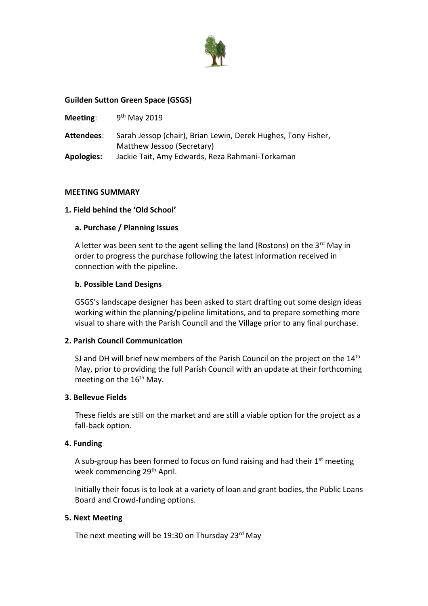

## **Guilden Sutton Green Space (GSGS)**

| Meeting:          | $9th$ May 2019                                                                              |
|-------------------|---------------------------------------------------------------------------------------------|
| <b>Attendees:</b> | Sarah Jessop (chair), Brian Lewin, Derek Hughes, Tony Fisher,<br>Matthew Jessop (Secretary) |
| <b>Apologies:</b> | Jackie Tait, Amy Edwards, Reza Rahmani-Torkaman                                             |

#### **MEETING SUMMARY**

## **1. Field behind the 'Old School'**

#### **a. Purchase / Planning Issues**

A letter was been sent to the agent selling the land (Rostons) on the  $3<sup>rd</sup>$  May in order to progress the purchase following the latest information received in connection with the pipeline.

#### **b. Possible Land Designs**

GSGS's landscape designer has been asked to start drafting out some design ideas working within the planning/pipeline limitations, and to prepare something more visual to share with the Parish Council and the Village prior to any final purchase.

## **2. Parish Council Communication**

SJ and DH will brief new members of the Parish Council on the project on the  $14<sup>th</sup>$ May, prior to providing the full Parish Council with an update at their forthcoming meeting on the 16<sup>th</sup> May.

## **3. Bellevue Fields**

These fields are still on the market and are still a viable option for the project as a fall-back option.

## **4. Funding**

A sub-group has been formed to focus on fund raising and had their 1<sup>st</sup> meeting week commencing 29<sup>th</sup> April.

Initially their focus is to look at a variety of loan and grant bodies, the Public Loans Board and Crowd-funding options.

#### **5. Next Meeting**

The next meeting will be 19:30 on Thursday 23<sup>rd</sup> May